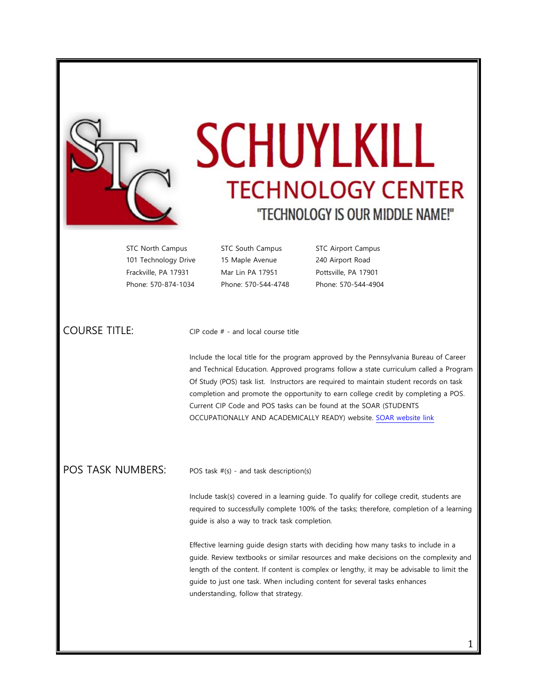

## **SCHUYLKILL TECHNOLOGY CENTER** "TECHNOLOGY IS OUR MIDDLE NAME!"

101 Technology Drive 15 Maple Avenue 240 Airport Road Frackville, PA 17931 Mar Lin PA 17951 Pottsville, PA 17901 Phone: 570-874-1034 Phone: 570-544-4748 Phone: 570-544-4904

STC North Campus STC South Campus STC Airport Campus

COURSE TITLE: CIP code # - and local course title

Include the local title for the program approved by the Pennsylvania Bureau of Career and Technical Education. Approved programs follow a state curriculum called a Program Of Study (POS) task list. Instructors are required to maintain student records on task completion and promote the opportunity to earn college credit by completing a POS. Current CIP Code and POS tasks can be found at the SOAR (STUDENTS OCCUPATIONALLY AND ACADEMICALLY READY) website. [SOAR website link](http://www.portal.state.pa.us/portal/server.pt/community/programs_of_study/7686/framework/679310)

## POS TASK NUMBERS: POS task #(s) - and task description(s)

Include task(s) covered in a learning guide. To qualify for college credit, students are required to successfully complete 100% of the tasks; therefore, completion of a learning guide is also a way to track task completion.

Effective learning guide design starts with deciding how many tasks to include in a guide. Review textbooks or similar resources and make decisions on the complexity and length of the content. If content is complex or lengthy, it may be advisable to limit the guide to just one task. When including content for several tasks enhances understanding, follow that strategy.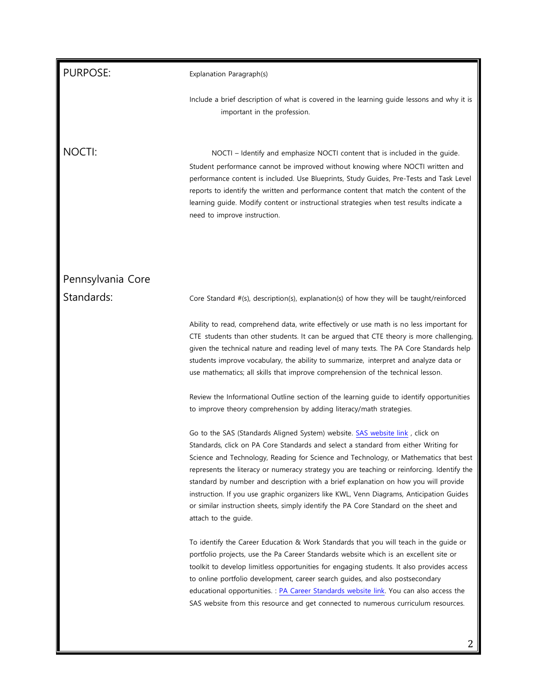| <b>PURPOSE:</b>   | Explanation Paragraph(s)                                                                                                                                                                                                                                                                                                                                                                                                                                                                                                                                                                                                                                    |
|-------------------|-------------------------------------------------------------------------------------------------------------------------------------------------------------------------------------------------------------------------------------------------------------------------------------------------------------------------------------------------------------------------------------------------------------------------------------------------------------------------------------------------------------------------------------------------------------------------------------------------------------------------------------------------------------|
|                   | Include a brief description of what is covered in the learning guide lessons and why it is<br>important in the profession.                                                                                                                                                                                                                                                                                                                                                                                                                                                                                                                                  |
| NOCTI:            | NOCTI – Identify and emphasize NOCTI content that is included in the guide.<br>Student performance cannot be improved without knowing where NOCTI written and<br>performance content is included. Use Blueprints, Study Guides, Pre-Tests and Task Level<br>reports to identify the written and performance content that match the content of the<br>learning guide. Modify content or instructional strategies when test results indicate a<br>need to improve instruction.                                                                                                                                                                                |
| Pennsylvania Core |                                                                                                                                                                                                                                                                                                                                                                                                                                                                                                                                                                                                                                                             |
| Standards:        | Core Standard #(s), description(s), explanation(s) of how they will be taught/reinforced                                                                                                                                                                                                                                                                                                                                                                                                                                                                                                                                                                    |
|                   | Ability to read, comprehend data, write effectively or use math is no less important for<br>CTE students than other students. It can be argued that CTE theory is more challenging,<br>given the technical nature and reading level of many texts. The PA Core Standards help<br>students improve vocabulary, the ability to summarize, interpret and analyze data or<br>use mathematics; all skills that improve comprehension of the technical lesson.                                                                                                                                                                                                    |
|                   | Review the Informational Outline section of the learning guide to identify opportunities<br>to improve theory comprehension by adding literacy/math strategies.                                                                                                                                                                                                                                                                                                                                                                                                                                                                                             |
|                   | Go to the SAS (Standards Aligned System) website. SAS website link, click on<br>Standards, click on PA Core Standards and select a standard from either Writing for<br>Science and Technology, Reading for Science and Technology, or Mathematics that best<br>represents the literacy or numeracy strategy you are teaching or reinforcing. Identify the<br>standard by number and description with a brief explanation on how you will provide<br>instruction. If you use graphic organizers like KWL, Venn Diagrams, Anticipation Guides<br>or similar instruction sheets, simply identify the PA Core Standard on the sheet and<br>attach to the guide. |
|                   | To identify the Career Education & Work Standards that you will teach in the guide or<br>portfolio projects, use the Pa Career Standards website which is an excellent site or<br>toolkit to develop limitless opportunities for engaging students. It also provides access<br>to online portfolio development, career search guides, and also postsecondary<br>educational opportunities. : PA Career Standards website link. You can also access the<br>SAS website from this resource and get connected to numerous curriculum resources.                                                                                                                |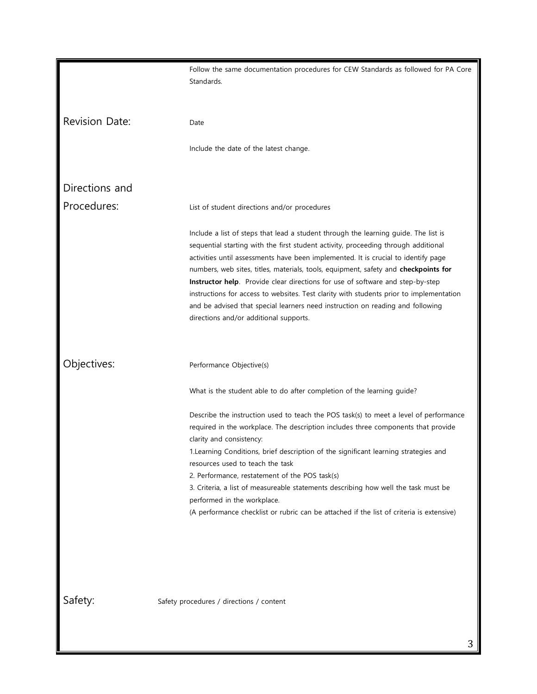|                       | Follow the same documentation procedures for CEW Standards as followed for PA Core<br>Standards.                                                                                                                                                                                                                                                                                                                                                                                                                                                                                                                                                                |
|-----------------------|-----------------------------------------------------------------------------------------------------------------------------------------------------------------------------------------------------------------------------------------------------------------------------------------------------------------------------------------------------------------------------------------------------------------------------------------------------------------------------------------------------------------------------------------------------------------------------------------------------------------------------------------------------------------|
| <b>Revision Date:</b> | Date                                                                                                                                                                                                                                                                                                                                                                                                                                                                                                                                                                                                                                                            |
|                       | Include the date of the latest change.                                                                                                                                                                                                                                                                                                                                                                                                                                                                                                                                                                                                                          |
| Directions and        |                                                                                                                                                                                                                                                                                                                                                                                                                                                                                                                                                                                                                                                                 |
| Procedures:           | List of student directions and/or procedures                                                                                                                                                                                                                                                                                                                                                                                                                                                                                                                                                                                                                    |
|                       | Include a list of steps that lead a student through the learning guide. The list is<br>sequential starting with the first student activity, proceeding through additional<br>activities until assessments have been implemented. It is crucial to identify page<br>numbers, web sites, titles, materials, tools, equipment, safety and checkpoints for<br>Instructor help. Provide clear directions for use of software and step-by-step<br>instructions for access to websites. Test clarity with students prior to implementation<br>and be advised that special learners need instruction on reading and following<br>directions and/or additional supports. |
| Objectives:           | Performance Objective(s)                                                                                                                                                                                                                                                                                                                                                                                                                                                                                                                                                                                                                                        |
|                       | What is the student able to do after completion of the learning guide?                                                                                                                                                                                                                                                                                                                                                                                                                                                                                                                                                                                          |
|                       | Describe the instruction used to teach the POS task(s) to meet a level of performance<br>required in the workplace. The description includes three components that provide<br>clarity and consistency:<br>1.Learning Conditions, brief description of the significant learning strategies and<br>resources used to teach the task<br>2. Performance, restatement of the POS task(s)<br>3. Criteria, a list of measureable statements describing how well the task must be<br>performed in the workplace.<br>(A performance checklist or rubric can be attached if the list of criteria is extensive)                                                            |
| Safety:               | Safety procedures / directions / content                                                                                                                                                                                                                                                                                                                                                                                                                                                                                                                                                                                                                        |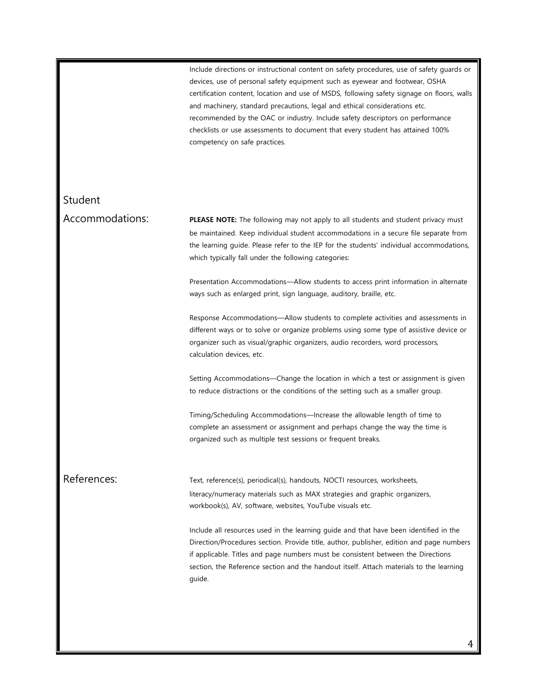Include directions or instructional content on safety procedures, use of safety guards or devices, use of personal safety equipment such as eyewear and footwear, OSHA certification content, location and use of MSDS, following safety signage on floors, walls and machinery, standard precautions, legal and ethical considerations etc. recommended by the OAC or industry. Include safety descriptors on performance checklists or use assessments to document that every student has attained 100% competency on safe practices.

Student

Accommodations: **PLEASE NOTE:** The following may not apply to all students and student privacy must be maintained. Keep individual student accommodations in a secure file separate from the learning guide. Please refer to the IEP for the students' individual accommodations, which typically fall under the following categories:

> Presentation Accommodations—Allow students to access print information in alternate ways such as enlarged print, sign language, auditory, braille, etc.

> Response Accommodations—Allow students to complete activities and assessments in different ways or to solve or organize problems using some type of assistive device or organizer such as visual/graphic organizers, audio recorders, word processors, calculation devices, etc.

> Setting Accommodations—Change the location in which a test or assignment is given to reduce distractions or the conditions of the setting such as a smaller group.

Timing/Scheduling Accommodations—Increase the allowable length of time to complete an assessment or assignment and perhaps change the way the time is organized such as multiple test sessions or frequent breaks.

References: Text, reference(s), periodical(s), handouts, NOCTI resources, worksheets, literacy/numeracy materials such as MAX strategies and graphic organizers, workbook(s), AV, software, websites, YouTube visuals etc.

> Include all resources used in the learning guide and that have been identified in the Direction/Procedures section. Provide title, author, publisher, edition and page numbers if applicable. Titles and page numbers must be consistent between the Directions section, the Reference section and the handout itself. Attach materials to the learning guide.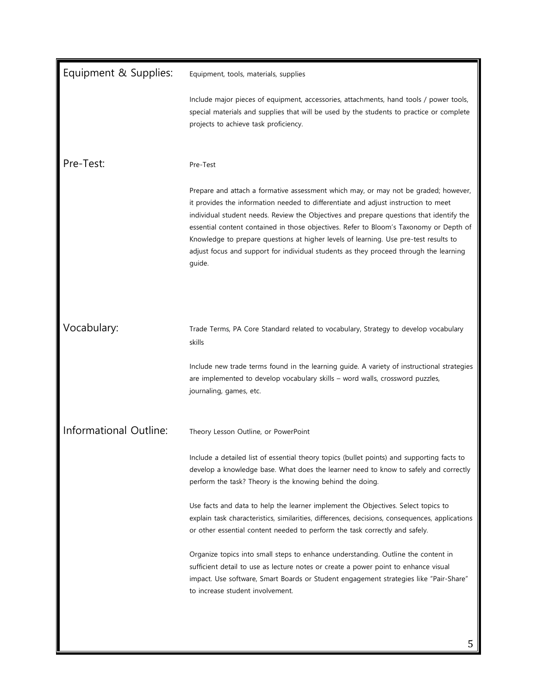| Equipment & Supplies:  | Equipment, tools, materials, supplies                                                                                                                                                                                                                                                                                                                                                                                                                                                                                                                     |
|------------------------|-----------------------------------------------------------------------------------------------------------------------------------------------------------------------------------------------------------------------------------------------------------------------------------------------------------------------------------------------------------------------------------------------------------------------------------------------------------------------------------------------------------------------------------------------------------|
|                        | Include major pieces of equipment, accessories, attachments, hand tools / power tools,<br>special materials and supplies that will be used by the students to practice or complete<br>projects to achieve task proficiency.                                                                                                                                                                                                                                                                                                                               |
| Pre-Test:              | Pre-Test                                                                                                                                                                                                                                                                                                                                                                                                                                                                                                                                                  |
|                        | Prepare and attach a formative assessment which may, or may not be graded; however,<br>it provides the information needed to differentiate and adjust instruction to meet<br>individual student needs. Review the Objectives and prepare questions that identify the<br>essential content contained in those objectives. Refer to Bloom's Taxonomy or Depth of<br>Knowledge to prepare questions at higher levels of learning. Use pre-test results to<br>adjust focus and support for individual students as they proceed through the learning<br>guide. |
| Vocabulary:            | Trade Terms, PA Core Standard related to vocabulary, Strategy to develop vocabulary<br>skills                                                                                                                                                                                                                                                                                                                                                                                                                                                             |
|                        | Include new trade terms found in the learning guide. A variety of instructional strategies<br>are implemented to develop vocabulary skills - word walls, crossword puzzles,<br>journaling, games, etc.                                                                                                                                                                                                                                                                                                                                                    |
| Informational Outline: | Theory Lesson Outline, or PowerPoint                                                                                                                                                                                                                                                                                                                                                                                                                                                                                                                      |
|                        | Include a detailed list of essential theory topics (bullet points) and supporting facts to<br>develop a knowledge base. What does the learner need to know to safely and correctly<br>perform the task? Theory is the knowing behind the doing.                                                                                                                                                                                                                                                                                                           |
|                        | Use facts and data to help the learner implement the Objectives. Select topics to<br>explain task characteristics, similarities, differences, decisions, consequences, applications<br>or other essential content needed to perform the task correctly and safely.                                                                                                                                                                                                                                                                                        |
|                        | Organize topics into small steps to enhance understanding. Outline the content in<br>sufficient detail to use as lecture notes or create a power point to enhance visual<br>impact. Use software, Smart Boards or Student engagement strategies like "Pair-Share"<br>to increase student involvement.                                                                                                                                                                                                                                                     |
|                        |                                                                                                                                                                                                                                                                                                                                                                                                                                                                                                                                                           |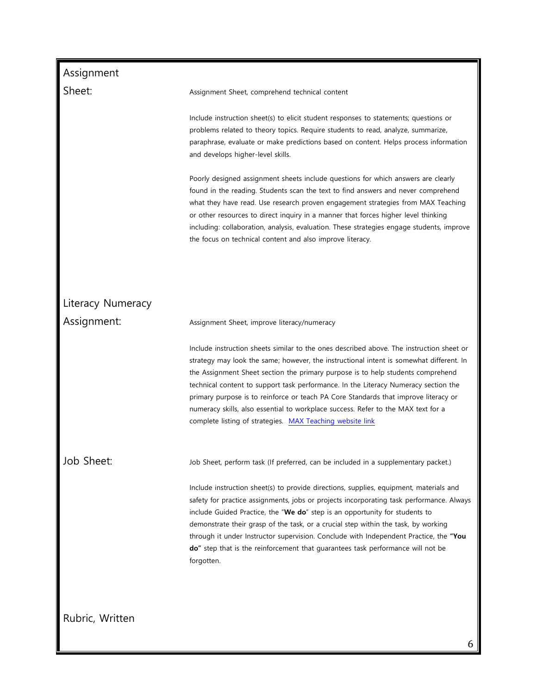| Assignment        |                                                                                                                                                                                                                                                                                                                                                                                                                                                                                                                                                                                                        |
|-------------------|--------------------------------------------------------------------------------------------------------------------------------------------------------------------------------------------------------------------------------------------------------------------------------------------------------------------------------------------------------------------------------------------------------------------------------------------------------------------------------------------------------------------------------------------------------------------------------------------------------|
| Sheet:            | Assignment Sheet, comprehend technical content                                                                                                                                                                                                                                                                                                                                                                                                                                                                                                                                                         |
|                   | Include instruction sheet(s) to elicit student responses to statements; questions or<br>problems related to theory topics. Require students to read, analyze, summarize,<br>paraphrase, evaluate or make predictions based on content. Helps process information<br>and develops higher-level skills.                                                                                                                                                                                                                                                                                                  |
|                   | Poorly designed assignment sheets include questions for which answers are clearly<br>found in the reading. Students scan the text to find answers and never comprehend<br>what they have read. Use research proven engagement strategies from MAX Teaching<br>or other resources to direct inquiry in a manner that forces higher level thinking<br>including: collaboration, analysis, evaluation. These strategies engage students, improve<br>the focus on technical content and also improve literacy.                                                                                             |
|                   |                                                                                                                                                                                                                                                                                                                                                                                                                                                                                                                                                                                                        |
| Literacy Numeracy |                                                                                                                                                                                                                                                                                                                                                                                                                                                                                                                                                                                                        |
| Assignment:       | Assignment Sheet, improve literacy/numeracy                                                                                                                                                                                                                                                                                                                                                                                                                                                                                                                                                            |
|                   | Include instruction sheets similar to the ones described above. The instruction sheet or<br>strategy may look the same; however, the instructional intent is somewhat different. In<br>the Assignment Sheet section the primary purpose is to help students comprehend<br>technical content to support task performance. In the Literacy Numeracy section the<br>primary purpose is to reinforce or teach PA Core Standards that improve literacy or<br>numeracy skills, also essential to workplace success. Refer to the MAX text for a<br>complete listing of strategies. MAX Teaching website link |
| Job Sheet:        | Job Sheet, perform task (If preferred, can be included in a supplementary packet.)                                                                                                                                                                                                                                                                                                                                                                                                                                                                                                                     |
|                   | Include instruction sheet(s) to provide directions, supplies, equipment, materials and<br>safety for practice assignments, jobs or projects incorporating task performance. Always<br>include Guided Practice, the "We do" step is an opportunity for students to<br>demonstrate their grasp of the task, or a crucial step within the task, by working<br>through it under Instructor supervision. Conclude with Independent Practice, the "You<br>do" step that is the reinforcement that guarantees task performance will not be<br>forgotten.                                                      |
| Rubric, Written   |                                                                                                                                                                                                                                                                                                                                                                                                                                                                                                                                                                                                        |